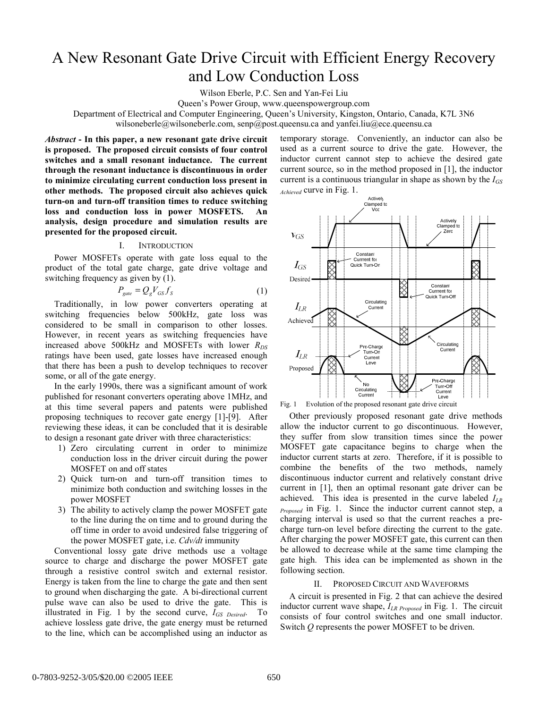# A New Resonant Gate Drive Circuit with Efficient Energy Recovery and Low Conduction Loss

Wilson Eberle, P.C. Sen and Yan-Fei Liu

Queen's Power Group, www.queenspowergroup.com

Department of Electrical and Computer Engineering, Queen's University, Kingston, Ontario, Canada, K7L 3N6

wilsoneberle@wilsoneberle.com, senp@post.queensu.ca and yanfei.liu@ece.queensu.ca

*Abstract* **- In this paper, a new resonant gate drive circuit is proposed. The proposed circuit consists of four control switches and a small resonant inductance. The current through the resonant inductance is discontinuous in order to minimize circulating current conduction loss present in other methods. The proposed circuit also achieves quick turn-on and turn-off transition times to reduce switching loss and conduction loss in power MOSFETS. An analysis, design procedure and simulation results are presented for the proposed circuit.** 

## I. INTRODUCTION

Power MOSFETs operate with gate loss equal to the product of the total gate charge, gate drive voltage and switching frequency as given by (1).

$$
P_{\text{gate}} = Q_{\text{g}} V_{\text{GS}} f_{\text{S}} \tag{1}
$$

Traditionally, in low power converters operating at switching frequencies below 500kHz, gate loss was considered to be small in comparison to other losses. However, in recent years as switching frequencies have increased above 500kHz and MOSFETs with lower  $R_{DS}$ ratings have been used, gate losses have increased enough that there has been a push to develop techniques to recover some, or all of the gate energy.

In the early 1990s, there was a significant amount of work published for resonant converters operating above 1MHz, and at this time several papers and patents were published proposing techniques to recover gate energy [1]-[9]. After reviewing these ideas, it can be concluded that it is desirable to design a resonant gate driver with three characteristics:

- 1) Zero circulating current in order to minimize conduction loss in the driver circuit during the power MOSFET on and off states
- 2) Quick turn-on and turn-off transition times to minimize both conduction and switching losses in the power MOSFET
- 3) The ability to actively clamp the power MOSFET gate to the line during the on time and to ground during the off time in order to avoid undesired false triggering of the power MOSFET gate, i.e. *Cdv/dt* immunity

Conventional lossy gate drive methods use a voltage source to charge and discharge the power MOSFET gate through a resistive control switch and external resistor. Energy is taken from the line to charge the gate and then sent to ground when discharging the gate. A bi-directional current pulse wave can also be used to drive the gate. This is illustrated in Fig. 1 by the second curve, *IGS Desired*. To achieve lossless gate drive, the gate energy must be returned to the line, which can be accomplished using an inductor as temporary storage. Conveniently, an inductor can also be used as a current source to drive the gate. However, the inductor current cannot step to achieve the desired gate current source, so in the method proposed in [1], the inductor current is a continuous triangular in shape as shown by the  $I_{GS}$ *Achieved* curve in Fig. 1.



Fig. 1 Evolution of the proposed resonant gate drive circuit

Other previously proposed resonant gate drive methods allow the inductor current to go discontinuous. However, they suffer from slow transition times since the power MOSFET gate capacitance begins to charge when the inductor current starts at zero. Therefore, if it is possible to combine the benefits of the two methods, namely discontinuous inductor current and relatively constant drive current in [1], then an optimal resonant gate driver can be achieved. This idea is presented in the curve labeled *ILR Proposed* in Fig. 1. Since the inductor current cannot step, a charging interval is used so that the current reaches a precharge turn-on level before directing the current to the gate. After charging the power MOSFET gate, this current can then be allowed to decrease while at the same time clamping the gate high. This idea can be implemented as shown in the following section.

### II. PROPOSED CIRCUIT AND WAVEFORMS

A circuit is presented in Fig. 2 that can achieve the desired inductor current wave shape, *ILR Proposed* in Fig. 1. The circuit consists of four control switches and one small inductor. Switch *Q* represents the power MOSFET to be driven.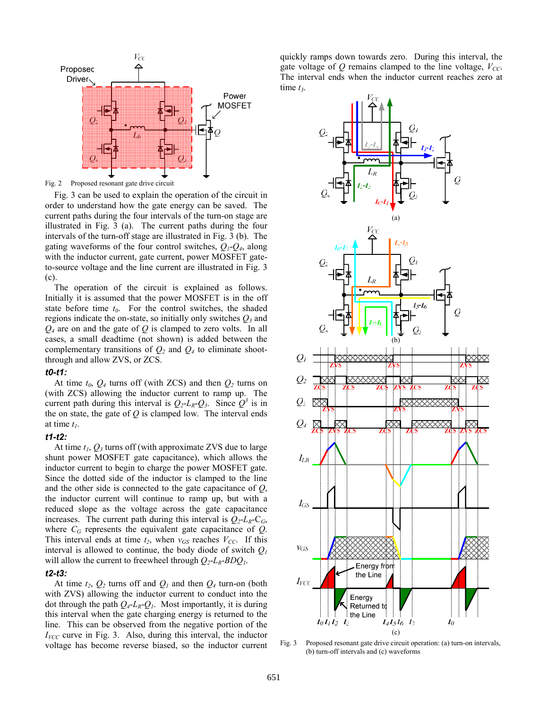

Fig. 2 Proposed resonant gate drive circuit

Fig. 3 can be used to explain the operation of the circuit in order to understand how the gate energy can be saved. The current paths during the four intervals of the turn-on stage are illustrated in Fig. 3 (a). The current paths during the four intervals of the turn-off stage are illustrated in Fig. 3 (b). The gating waveforms of the four control switches, *Q1*-*Q4*, along with the inductor current, gate current, power MOSFET gateto-source voltage and the line current are illustrated in Fig. 3 (c).

The operation of the circuit is explained as follows. Initially it is assumed that the power MOSFET is in the off state before time  $t_0$ . For the control switches, the shaded regions indicate the on-state, so initially only switches  $Q_3$  and *Q4* are on and the gate of *Q* is clamped to zero volts. In all cases, a small deadtime (not shown) is added between the complementary transitions of  $Q_2$  and  $Q_4$  to eliminate shootthrough and allow ZVS, or ZCS.

#### *t0-t1:*

At time  $t_0$ ,  $Q_4$  turns off (with ZCS) and then  $Q_2$  turns on (with ZCS) allowing the inductor current to ramp up. The current path during this interval is  $Q_2$ - $L_R$ - $Q_3$ . Since  $Q^3$  is in the on state, the gate of *Q* is clamped low. The interval ends at time  $t_1$ .

# *t1-t2:*

At time  $t_1$ ,  $Q_3$  turns off (with approximate ZVS due to large shunt power MOSFET gate capacitance), which allows the inductor current to begin to charge the power MOSFET gate. Since the dotted side of the inductor is clamped to the line and the other side is connected to the gate capacitance of *Q*, the inductor current will continue to ramp up, but with a reduced slope as the voltage across the gate capacitance increases. The current path during this interval is  $Q_2 - L_R - C_G$ , where  $C_G$  represents the equivalent gate capacitance of  $Q$ . This interval ends at time  $t_2$ , when  $v_{GS}$  reaches  $V_{CC}$ . If this interval is allowed to continue, the body diode of switch *Q1* will allow the current to freewheel through  $Q_2$ -*L<sub>R</sub>*-*BDQ<sub>1</sub>*.

## *t2-t3:*

At time  $t_2$ ,  $Q_2$  turns off and  $Q_1$  and then  $Q_4$  turn-on (both with ZVS) allowing the inductor current to conduct into the dot through the path  $Q_4$ - $L_R$ - $Q_1$ . Most importantly, it is during this interval when the gate charging energy is returned to the line. This can be observed from the negative portion of the  $I_{VCC}$  curve in Fig. 3. Also, during this interval, the inductor voltage has become reverse biased, so the inductor current quickly ramps down towards zero. During this interval, the gate voltage of  $Q$  remains clamped to the line voltage,  $V_{CC}$ . The interval ends when the inductor current reaches zero at time  $t_3$ .



(c) Fig. 3 Proposed resonant gate drive circuit operation: (a) turn-on intervals, (b) turn-off intervals and (c) waveforms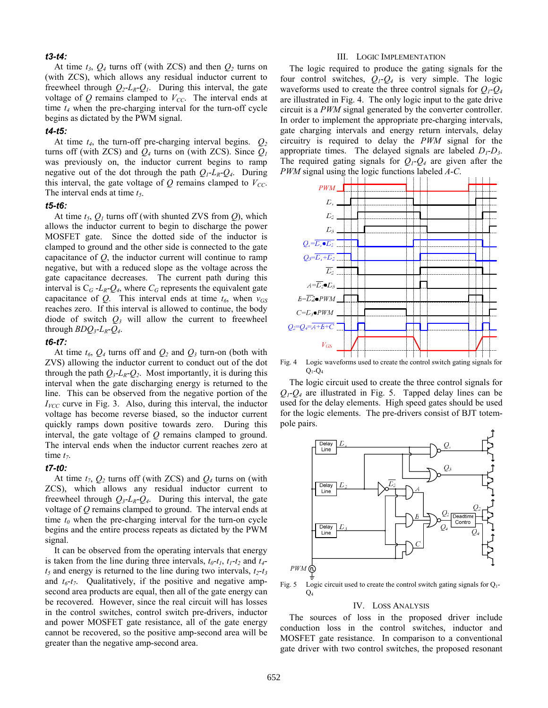### *t3-t4:*

At time  $t_3$ ,  $Q_4$  turns off (with ZCS) and then  $Q_2$  turns on (with ZCS), which allows any residual inductor current to freewheel through  $Q_2$ -*L<sub>R</sub>*- $Q_1$ . During this interval, the gate voltage of  $Q$  remains clamped to  $V_{CC}$ . The interval ends at time *t4* when the pre-charging interval for the turn-off cycle begins as dictated by the PWM signal.

# *t4-t5:*

At time  $t_4$ , the turn-off pre-charging interval begins.  $Q_2$ turns off (with ZCS) and  $Q_4$  turns on (with ZCS). Since  $Q_1$ was previously on, the inductor current begins to ramp negative out of the dot through the path  $Q_1$ - $L_R$ - $Q_4$ . During this interval, the gate voltage of  $Q$  remains clamped to  $V_{CC}$ . The interval ends at time  $t_5$ .

## *t5-t6:*

At time  $t_5$ ,  $Q_1$  turns off (with shunted ZVS from  $Q$ ), which allows the inductor current to begin to discharge the power MOSFET gate. Since the dotted side of the inductor is clamped to ground and the other side is connected to the gate capacitance of *Q*, the inductor current will continue to ramp negative, but with a reduced slope as the voltage across the gate capacitance decreases. The current path during this interval is  $C_G - L_R - Q_4$ , where  $C_G$  represents the equivalent gate capacitance of  $Q$ . This interval ends at time  $t_6$ , when  $v_{GS}$ reaches zero. If this interval is allowed to continue, the body diode of switch *Q3* will allow the current to freewheel through *BDQ3*-*LR*-*Q4*.

## *t6-t7:*

At time  $t_6$ ,  $Q_4$  turns off and  $Q_2$  and  $Q_3$  turn-on (both with ZVS) allowing the inductor current to conduct out of the dot through the path  $Q_3$ -*L<sub>R</sub>*- $Q_2$ . Most importantly, it is during this interval when the gate discharging energy is returned to the line. This can be observed from the negative portion of the  $I_{VCC}$  curve in Fig. 3. Also, during this interval, the inductor voltage has become reverse biased, so the inductor current quickly ramps down positive towards zero. During this interval, the gate voltage of *Q* remains clamped to ground. The interval ends when the inductor current reaches zero at time  $t_7$ .

## *t7-t0:*

At time  $t_7$ ,  $Q_2$  turns off (with ZCS) and  $Q_4$  turns on (with ZCS), which allows any residual inductor current to freewheel through  $Q_3$ - $L_R$ - $Q_4$ . During this interval, the gate voltage of *Q* remains clamped to ground. The interval ends at time  $t_0$  when the pre-charging interval for the turn-on cycle begins and the entire process repeats as dictated by the PWM signal.

It can be observed from the operating intervals that energy is taken from the line during three intervals,  $t_0$ - $t_1$ ,  $t_1$ - $t_2$  and  $t_4$  $t_5$  and energy is returned to the line during two intervals,  $t_2$ - $t_3$ and  $t_6-t_7$ . Qualitatively, if the positive and negative ampsecond area products are equal, then all of the gate energy can be recovered. However, since the real circuit will has losses in the control switches, control switch pre-drivers, inductor and power MOSFET gate resistance, all of the gate energy cannot be recovered, so the positive amp-second area will be greater than the negative amp-second area.

#### III. LOGIC IMPLEMENTATION

The logic required to produce the gating signals for the four control switches, *Q1*-*Q4* is very simple. The logic waveforms used to create the three control signals for  $Q_1 - Q_4$ are illustrated in Fig. 4. The only logic input to the gate drive circuit is a *PWM* signal generated by the converter controller. In order to implement the appropriate pre-charging intervals, gate charging intervals and energy return intervals, delay circuitry is required to delay the *PWM* signal for the appropriate times. The delayed signals are labeled *D1*-*D3*. The required gating signals for  $Q_1$ - $Q_4$  are given after the *PWM* signal using the logic functions labeled *A*-*C*.



Fig. 4 Logic waveforms used to create the control switch gating signals for  $Q_1$ - $Q_4$ 

The logic circuit used to create the three control signals for *Q1*-*Q4* are illustrated in Fig. 5. Tapped delay lines can be used for the delay elements. High speed gates should be used for the logic elements. The pre-drivers consist of BJT totempole pairs.



Fig. 5 Logic circuit used to create the control switch gating signals for  $Q_1$ - $O<sub>4</sub>$ 

#### IV. LOSS ANALYSIS

The sources of loss in the proposed driver include conduction loss in the control switches, inductor and MOSFET gate resistance. In comparison to a conventional gate driver with two control switches, the proposed resonant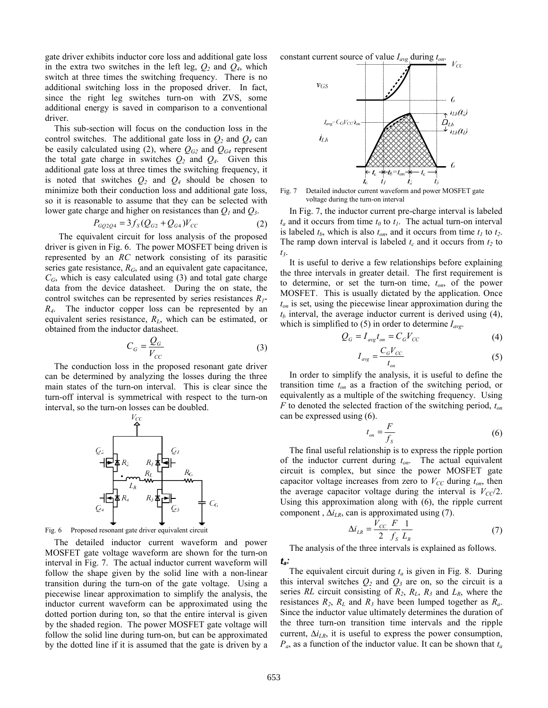gate driver exhibits inductor core loss and additional gate loss in the extra two switches in the left leg,  $Q_2$  and  $Q_4$ , which switch at three times the switching frequency. There is no additional switching loss in the proposed driver. In fact, since the right leg switches turn-on with ZVS, some additional energy is saved in comparison to a conventional driver.

This sub-section will focus on the conduction loss in the control switches. The additional gate loss in  $Q_2$  and  $Q_4$  can be easily calculated using (2), where  $Q_{G2}$  and  $Q_{G4}$  represent the total gate charge in switches  $Q_2$  and  $Q_4$ . Given this additional gate loss at three times the switching frequency, it is noted that switches  $Q_2$  and  $Q_4$  should be chosen to minimize both their conduction loss and additional gate loss, so it is reasonable to assume that they can be selected with lower gate charge and higher on resistances than *Q1* and *Q3*.

$$
P_{GQ2Q4} = 3f_S(Q_{G2} + Q_{G4})V_{CC}
$$
 (2)

 The equivalent circuit for loss analysis of the proposed driver is given in Fig. 6. The power MOSFET being driven is represented by an *RC* network consisting of its parasitic series gate resistance, *RG*, and an equivalent gate capacitance,  $C_G$ , which is easy calculated using (3) and total gate charge data from the device datasheet. During the on state, the control switches can be represented by series resistances *R1*- *R4*. The inductor copper loss can be represented by an equivalent series resistance, *RL*, which can be estimated, or obtained from the inductor datasheet.

$$
C_G = \frac{Q_G}{V_{CC}}\tag{3}
$$

The conduction loss in the proposed resonant gate driver can be determined by analyzing the losses during the three main states of the turn-on interval. This is clear since the turn-off interval is symmetrical with respect to the turn-on interval, so the turn-on losses can be doubled.



Fig. 6 Proposed resonant gate driver equivalent circuit

The detailed inductor current waveform and power MOSFET gate voltage waveform are shown for the turn-on interval in Fig. 7. The actual inductor current waveform will follow the shape given by the solid line with a non-linear transition during the turn-on of the gate voltage. Using a piecewise linear approximation to simplify the analysis, the inductor current waveform can be approximated using the dotted portion during ton, so that the entire interval is given by the shaded region. The power MOSFET gate voltage will follow the solid line during turn-on, but can be approximated by the dotted line if it is assumed that the gate is driven by a

constant current source of value *Iavg* during *ton*.



Fig. 7 Detailed inductor current waveform and power MOSFET gate voltage during the turn-on interval

In Fig. 7, the inductor current pre-charge interval is labeled  $t_a$  and it occurs from time  $t_0$  to  $t_1$ . The actual turn-on interval is labeled  $t_b$ , which is also  $t_{on}$ , and it occurs from time  $t_l$  to  $t_2$ . The ramp down interval is labeled  $t_c$  and it occurs from  $t_2$  to *t3*.

It is useful to derive a few relationships before explaining the three intervals in greater detail. The first requirement is to determine, or set the turn-on time, *ton*, of the power MOSFET. This is usually dictated by the application. Once *ton* is set, using the piecewise linear approximation during the  $t_b$  interval, the average inductor current is derived using  $(4)$ , which is simplified to  $(5)$  in order to determine  $I_{avg}$ .

$$
Q_G = I_{avg}t_{on} = C_G V_{CC}
$$
 (4)

$$
I_{\text{avg}} = \frac{C_G V_{CC}}{t_{\text{on}}} \tag{5}
$$

In order to simplify the analysis, it is useful to define the transition time *ton* as a fraction of the switching period, or equivalently as a multiple of the switching frequency. Using *F* to denoted the selected fraction of the switching period, *ton* can be expressed using (6).

$$
t_{on} = \frac{F}{f_s} \tag{6}
$$

The final useful relationship is to express the ripple portion of the inductor current during *ton*. The actual equivalent circuit is complex, but since the power MOSFET gate capacitor voltage increases from zero to  $V_{CC}$  during  $t_{on}$ , then the average capacitor voltage during the interval is  $V_{CC}/2$ . Using this approximation along with (6), the ripple current component,  $\Delta i_{LR}$ , can is approximated using (7).

$$
\Delta i_{LR} = \frac{V_{CC}}{2} \frac{F}{f_s} \frac{1}{L_R} \tag{7}
$$

The analysis of the three intervals is explained as follows. *ta:* 

The equivalent circuit during  $t_a$  is given in Fig. 8. During this interval switches  $Q_2$  and  $Q_3$  are on, so the circuit is a series *RL* circuit consisting of *R2*, *RL*, *R3* and *LR*, where the resistances  $R_2$ ,  $R_L$  and  $R_3$  have been lumped together as  $R_a$ . Since the inductor value ultimately determines the duration of the three turn-on transition time intervals and the ripple current,  $\Delta i_{LR}$ , it is useful to express the power consumption, *Pa*, as a function of the inductor value. It can be shown that *ta*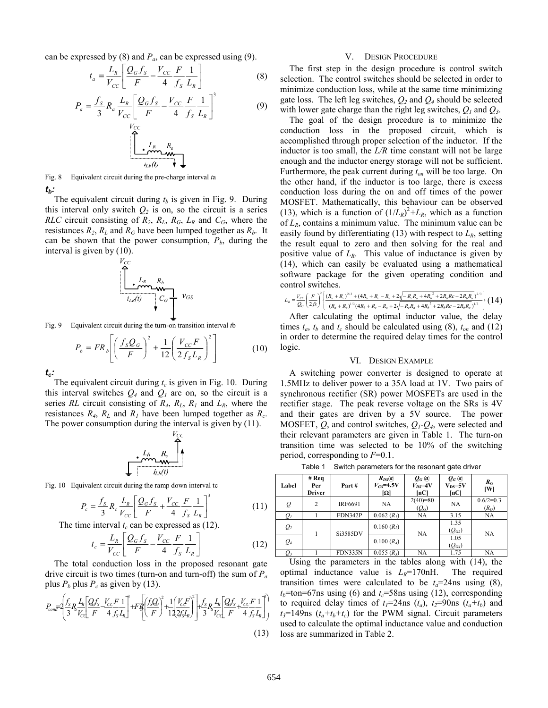can be expressed by  $(8)$  and  $P_a$ , can be expressed using  $(9)$ .

$$
t_a = \frac{L_R}{V_{CC}} \left[ \frac{Q_G f_S}{F} - \frac{V_{CC}}{4} \frac{F}{f_S} \frac{1}{L_R} \right]
$$
 (8)

$$
P_a = \frac{f_s}{3} R_a \frac{L_R}{V_{CC}} \left[ \frac{Q_G f_s}{F} - \frac{V_{CC}}{4} \frac{F}{f_s} \frac{1}{L_R} \right]^3 \tag{9}
$$

$$
\begin{array}{c}\n\begin{array}{ccc}\nL_R & R_c \\
\hline\n\end{array}\n\end{array}
$$

Fig. 8 Equivalent circuit during the pre-charge interval *t*a *tb:* 

The equivalent circuit during  $t_b$  is given in Fig. 9. During this interval only switch  $Q_2$  is on, so the circuit is a series *RLC* circuit consisting of  $R_2$ ,  $R_L$ ,  $R_G$ ,  $L_R$  and  $C_G$ , where the resistances  $R_2$ ,  $R_L$  and  $R_G$  have been lumped together as  $R_b$ . It can be shown that the power consumption,  $P<sub>b</sub>$ , during the interval is given by (10).

$$
\begin{bmatrix}\nV_{CC} \\
\cdot & L_R & R_b \\
\cdot & \cdot & \cdot \\
\hline\n\vdots & \cdot & \cdot \\
\hline\n\vdots & \cdot & \cdot \\
\hline\n\vdots & \cdot & \cdot\n\end{bmatrix} \quad \text{VGS}
$$

Fig. 9 Equivalent circuit during the turn-on transition interval *t*b

$$
P_b = FR_b \left[ \left( \frac{f_s Q_G}{F} \right)^2 + \frac{1}{12} \left( \frac{V_{CC} F}{2 f_s L_R} \right)^2 \right]
$$
 (10)

*tc:* 

The equivalent circuit during  $t_c$  is given in Fig. 10. During this interval switches  $Q_4$  and  $Q_1$  are on, so the circuit is a series *RL* circuit consisting of  $R_4$ ,  $R_L$ ,  $R_l$  and  $L_R$ , where the resistances  $R_4$ ,  $R_L$  and  $R_I$  have been lumped together as  $R_c$ . The power consumption during the interval is given by (11).

Fig. 10 Equivalent circuit during the ramp down interval tc

$$
P_c = \frac{f_S}{3} R_c \frac{L_R}{V_{CC}} \left[ \frac{Q_G f_S}{F} + \frac{V_{CC}}{4} \frac{F}{f_S} \frac{1}{L_R} \right]^3
$$
 (11)

The time interval  $t_c$  can be expressed as  $(12)$ .

$$
t_c = \frac{L_R}{V_{CC}} \left[ \frac{Q_G f_S}{F} - \frac{V_{CC}}{4} \frac{F}{f_S} \frac{1}{L_R} \right]
$$
 (12)

The total conduction loss in the proposed resonant gate drive circuit is two times (turn-on and turn-off) the sum of  $P_a$ plus  $P_b$  plus  $P_c$  as given by (13).

$$
P_{cont} = \left(\frac{f_S}{3} R \frac{I_R}{V_{cQ}} \left[\frac{Qf_S}{F} - \frac{V_{CC}F}{4} \frac{1}{f_S I_R}\right] + F_R \left[\left(\frac{f_s Q}{F}\right)^2 + \frac{1}{12} \left(\frac{V_C F}{2f_R}\right)^2\right] + \frac{f_S}{3} R \frac{I_R}{V_{cQ}} \left[\frac{Qf_S}{F} + \frac{V_{CC}F}{4} \frac{1}{f_S I_R}\right]^3\right)
$$
\n(13)

#### V. DESIGN PROCEDURE

The first step in the design procedure is control switch selection. The control switches should be selected in order to minimize conduction loss, while at the same time minimizing gate loss. The left leg switches, *Q2* and *Q4* should be selected with lower gate charge than the right leg switches, *Q1* and *Q3*.

The goal of the design procedure is to minimize the conduction loss in the proposed circuit, which is accomplished through proper selection of the inductor. If the inductor is too small, the *L/R* time constant will not be large enough and the inductor energy storage will not be sufficient. Furthermore, the peak current during  $t_{on}$  will be too large. On the other hand, if the inductor is too large, there is excess conduction loss during the on and off times of the power MOSFET. Mathematically, this behaviour can be observed (13), which is a function of  $(1/L_R)^2 + L_R$ , which as a function of *LR*, contains a minimum value. The minimum value can be easily found by differentiating  $(13)$  with respect to  $L_R$ , setting the result equal to zero and then solving for the real and positive value of  $L_R$ . This value of inductance is given by (14), which can easily be evaluated using a mathematical software package for the given operating condition and control switches.

$$
L_{R} = \frac{V_{CC}}{Q_{\sigma}} \left(\frac{F}{2f_{\sigma}}\right)^{2} \left\{ \frac{\left(R_{a} + R_{c}\right)^{2/3} + \left(4R_{b} + R_{c} - R_{a} + 2\sqrt{-R_{c}R_{a} + 4R_{b}^{2} + 2R_{b}R_{c} - 2R_{b}R_{a}}\right)^{2/3}}{\left(R_{a} + R_{c}\right)^{1/3} \left(4R_{b} + R_{c} - R_{a} + 2\sqrt{-R_{c}R_{a} + 4R_{b}^{2} + 2R_{b}R_{c} - 2R_{b}R_{a}}\right)^{1/3}} \right\} (14)
$$

After calculating the optimal inductor value, the delay times  $t_a$ ,  $t_b$  and  $t_c$  should be calculated using (8),  $t_{on}$  and (12) in order to determine the required delay times for the control logic.

### VI. DESIGN EXAMPLE

A switching power converter is designed to operate at 1.5MHz to deliver power to a 35A load at 1V. Two pairs of synchronous rectifier (SR) power MOSFETs are used in the rectifier stage. The peak reverse voltage on the SRs is 4V and their gates are driven by a 5V source. The power MOSFET, *Q*, and control switches, *Q1*-*Q4*, were selected and their relevant parameters are given in Table 1. The turn-on transition time was selected to be 10% of the switching period, corresponding to *F*=0.1.

| Label | $#$ Req<br>Per<br><b>Driver</b> | Part#          | $R_{DS}(a)$<br>$V_{GS}$ =4.5V<br>$ \Omega $ | $Q_G(a)$<br>$V_{DS}$ =4V<br>$\left[ nC\right]$ | $Q_G(a)$<br>$V_{DS}=5V$<br>$\left[ nC\right]$ | $R_G$<br> W            |
|-------|---------------------------------|----------------|---------------------------------------------|------------------------------------------------|-----------------------------------------------|------------------------|
| Q     | 2                               | <b>IRF6691</b> | <b>NA</b>                                   | $2(40)=80$<br>$(Q_G)$                          | NA                                            | $0.6/2=0.3$<br>$(R_G)$ |
| $Q_I$ |                                 | <b>FDN342P</b> | 0.062(R <sub>1</sub> )                      | NA.                                            | 3.15                                          | NA                     |
| $Q_2$ |                                 | Si3585DV       | $0.160(R_2)$                                | NA                                             | 1.35<br>$(Q_{G2})$                            | NA                     |
| $Q_4$ |                                 |                | $0.100(R_4)$                                |                                                | 1.05<br>$(Q_{G4})$                            |                        |
|       |                                 | <b>FDN335N</b> | $0.055(R_3)$                                | <b>NA</b>                                      | 1.75                                          | NA                     |

Table 1 Switch parameters for the resonant gate driver

Using the parameters in the tables along with (14), the optimal inductance value is  $L_R$ =170nH. The required transition times were calculated to be  $t_a = 24$ ns using (8),  $t_b$ =ton=67ns using (6) and  $t_c$ =58ns using (12), corresponding to required delay times of  $t_1=24$ ns  $(t_a)$ ,  $t_2=90$ ns  $(t_a+t_b)$  and  $t_3$ =149ns  $(t_a+t_b+t_c)$  for the PWM signal. Circuit parameters used to calculate the optimal inductance value and conduction loss are summarized in Table 2.